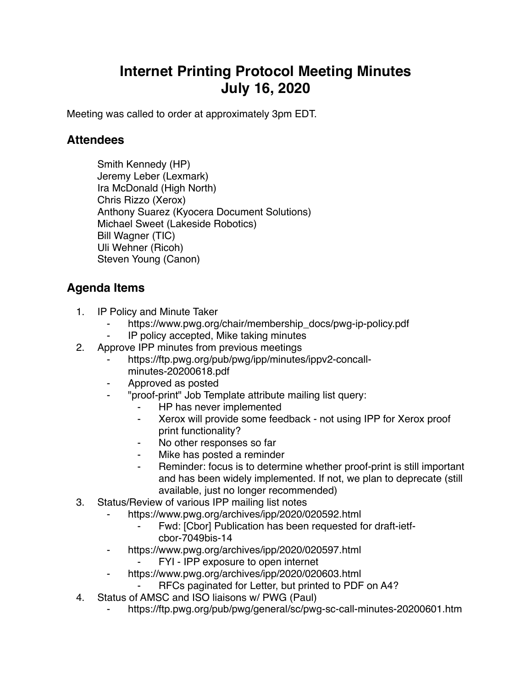## **Internet Printing Protocol Meeting Minutes July 16, 2020**

Meeting was called to order at approximately 3pm EDT.

## **Attendees**

Smith Kennedy (HP) Jeremy Leber (Lexmark) Ira McDonald (High North) Chris Rizzo (Xerox) Anthony Suarez (Kyocera Document Solutions) Michael Sweet (Lakeside Robotics) Bill Wagner (TIC) Uli Wehner (Ricoh) Steven Young (Canon)

## **Agenda Items**

- 1. IP Policy and Minute Taker
	- https://www.pwg.org/chair/membership\_docs/pwg-ip-policy.pdf
	- ⁃ IP policy accepted, Mike taking minutes
- 2. Approve IPP minutes from previous meetings
	- https://ftp.pwg.org/pub/pwg/ipp/minutes/ippv2-concallminutes-20200618.pdf
	- ⁃ Approved as posted
	- ⁃ "proof-print" Job Template attribute mailing list query:
		- HP has never implemented
		- Xerox will provide some feedback not using IPP for Xerox proof print functionality?
		- No other responses so far
		- ⁃ Mike has posted a reminder
		- Reminder: focus is to determine whether proof-print is still important and has been widely implemented. If not, we plan to deprecate (still available, just no longer recommended)
- 3. Status/Review of various IPP mailing list notes
	- https://www.pwg.org/archives/ipp/2020/020592.html
		- Fwd: [Cbor] Publication has been requested for draft-ietfcbor-7049bis-14
	- ⁃ https://www.pwg.org/archives/ipp/2020/020597.html
		- FYI IPP exposure to open internet
	- ⁃ https://www.pwg.org/archives/ipp/2020/020603.html
		- RFCs paginated for Letter, but printed to PDF on A4?
- 4. Status of AMSC and ISO liaisons w/ PWG (Paul)
	- ⁃ https://ftp.pwg.org/pub/pwg/general/sc/pwg-sc-call-minutes-20200601.htm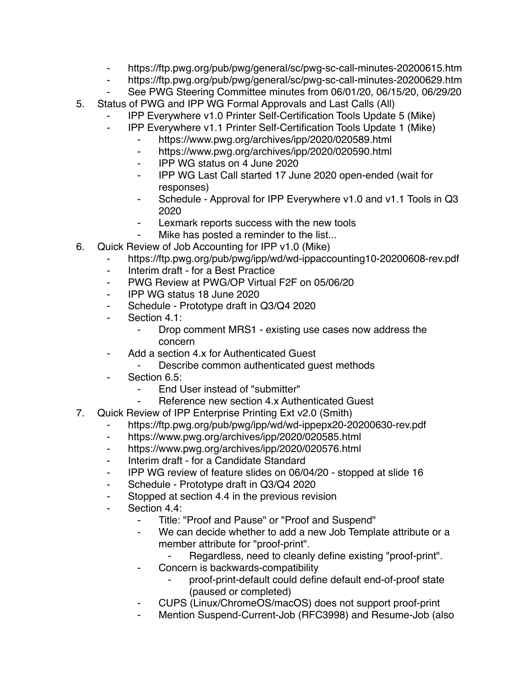- ⁃ https://ftp.pwg.org/pub/pwg/general/sc/pwg-sc-call-minutes-20200615.htm
- ⁃ https://ftp.pwg.org/pub/pwg/general/sc/pwg-sc-call-minutes-20200629.htm
- See PWG Steering Committee minutes from 06/01/20, 06/15/20, 06/29/20
- 5. Status of PWG and IPP WG Formal Approvals and Last Calls (All)
	- ⁃ IPP Everywhere v1.0 Printer Self-Certification Tools Update 5 (Mike)
	- ⁃ IPP Everywhere v1.1 Printer Self-Certification Tools Update 1 (Mike)
		- ⁃ https://www.pwg.org/archives/ipp/2020/020589.html
		- ⁃ https://www.pwg.org/archives/ipp/2020/020590.html
		- ⁃ IPP WG status on 4 June 2020
		- ⁃ IPP WG Last Call started 17 June 2020 open-ended (wait for responses)
		- ⁃ Schedule Approval for IPP Everywhere v1.0 and v1.1 Tools in Q3 2020
		- Lexmark reports success with the new tools
		- Mike has posted a reminder to the list...
- 6. Quick Review of Job Accounting for IPP v1.0 (Mike)
	- ⁃ https://ftp.pwg.org/pub/pwg/ipp/wd/wd-ippaccounting10-20200608-rev.pdf
	- Interim draft for a Best Practice
	- ⁃ PWG Review at PWG/OP Virtual F2F on 05/06/20
	- ⁃ IPP WG status 18 June 2020
	- ⁃ Schedule Prototype draft in Q3/Q4 2020
	- ⁃ Section 4.1:
		- Drop comment MRS1 existing use cases now address the concern
	- ⁃ Add a section 4.x for Authenticated Guest
		- Describe common authenticated guest methods
	- Section 6.5:
		- End User instead of "submitter"
		- Reference new section 4.x Authenticated Guest
- 7. Quick Review of IPP Enterprise Printing Ext v2.0 (Smith)
	- https://ftp.pwg.org/pub/pwg/ipp/wd/wd-ippepx20-20200630-rev.pdf
	- ⁃ https://www.pwg.org/archives/ipp/2020/020585.html
	- https://www.pwg.org/archives/ipp/2020/020576.html
	- ⁃ Interim draft for a Candidate Standard
	- ⁃ IPP WG review of feature slides on 06/04/20 stopped at slide 16
	- ⁃ Schedule Prototype draft in Q3/Q4 2020
	- ⁃ Stopped at section 4.4 in the previous revision
	- Section 4.4:
		- Title: "Proof and Pause" or "Proof and Suspend"
		- We can decide whether to add a new Job Template attribute or a member attribute for "proof-print".
			- ⁃ Regardless, need to cleanly define existing "proof-print".
		- Concern is backwards-compatibility
			- ⁃ proof-print-default could define default end-of-proof state (paused or completed)
		- ⁃ CUPS (Linux/ChromeOS/macOS) does not support proof-print
		- Mention Suspend-Current-Job (RFC3998) and Resume-Job (also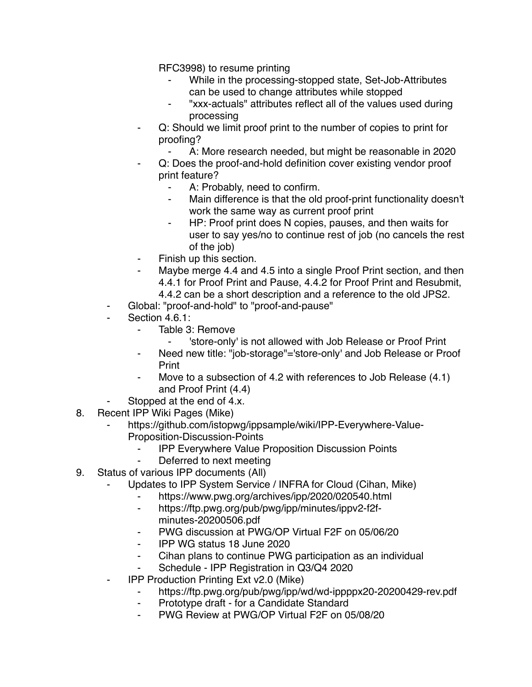RFC3998) to resume printing

- While in the processing-stopped state, Set-Job-Attributes can be used to change attributes while stopped
- "xxx-actuals" attributes reflect all of the values used during processing
- Q: Should we limit proof print to the number of copies to print for proofing?
	- A: More research needed, but might be reasonable in 2020
- Q: Does the proof-and-hold definition cover existing vendor proof print feature?
	- A: Probably, need to confirm.
	- ⁃ Main difference is that the old proof-print functionality doesn't work the same way as current proof print
	- HP: Proof print does N copies, pauses, and then waits for user to say yes/no to continue rest of job (no cancels the rest of the job)
- Finish up this section.
- Maybe merge 4.4 and 4.5 into a single Proof Print section, and then 4.4.1 for Proof Print and Pause, 4.4.2 for Proof Print and Resubmit,
	- 4.4.2 can be a short description and a reference to the old JPS2.
- Global: "proof-and-hold" to "proof-and-pause"
- Section 4.6.1:
	- Table 3: Remove
		- ⁃ 'store-only' is not allowed with Job Release or Proof Print
	- ⁃ Need new title: "job-storage"='store-only' and Job Release or Proof Print
	- ⁃ Move to a subsection of 4.2 with references to Job Release (4.1) and Proof Print (4.4)
- Stopped at the end of 4.x.
- 8. Recent IPP Wiki Pages (Mike)
	- https://github.com/istopwg/ippsample/wiki/IPP-Everywhere-Value-Proposition-Discussion-Points
		- **IPP Everywhere Value Proposition Discussion Points**
		- Deferred to next meeting
- 9. Status of various IPP documents (All)
	- Updates to IPP System Service / INFRA for Cloud (Cihan, Mike)
		- ⁃ https://www.pwg.org/archives/ipp/2020/020540.html
		- ⁃ https://ftp.pwg.org/pub/pwg/ipp/minutes/ippv2-f2fminutes-20200506.pdf
		- ⁃ PWG discussion at PWG/OP Virtual F2F on 05/06/20
		- ⁃ IPP WG status 18 June 2020
		- ⁃ Cihan plans to continue PWG participation as an individual
		- Schedule IPP Registration in Q3/Q4 2020
	- **IPP Production Printing Ext v2.0 (Mike)** 
		- https://ftp.pwg.org/pub/pwg/ipp/wd/wd-ippppx20-20200429-rev.pdf
		- ⁃ Prototype draft for a Candidate Standard
		- PWG Review at PWG/OP Virtual F2F on 05/08/20